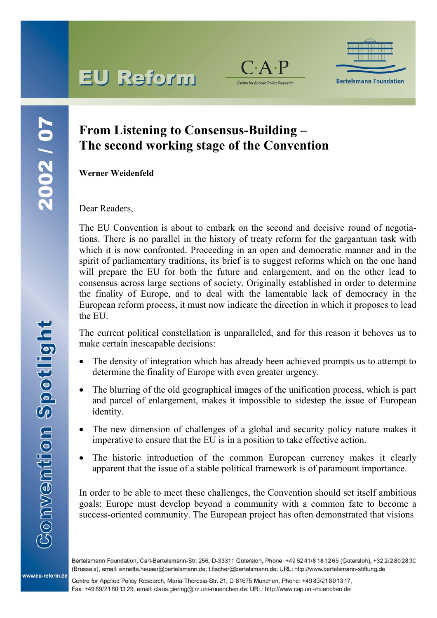# **EU Reform**



**Bertelsmann Foundation** 

### **From Listening to Consensus-Building – The second working stage of the Convention**

**Werner Weidenfeld**

Dear Readers,

The EU Convention is about to embark on the second and decisive round of negotiations. There is no parallel in the history of treaty reform for the gargantuan task with which it is now confronted. Proceeding in an open and democratic manner and in the spirit of parliamentary traditions, its brief is to suggest reforms which on the one hand will prepare the EU for both the future and enlargement, and on the other lead to consensus across large sections of society. Originally established in order to determine the finality of Europe, and to deal with the lamentable lack of democracy in the European reform process, it must now indicate the direction in which it proposes to lead the EU.

The current political constellation is unparalleled, and for this reason it behoves us to make certain inescapable decisions:

- The density of integration which has already been achieved prompts us to attempt to determine the finality of Europe with even greater urgency.
- The blurring of the old geographical images of the unification process, which is part and parcel of enlargement, makes it impossible to sidestep the issue of European identity.
- The new dimension of challenges of a global and security policy nature makes it imperative to ensure that the EU is in a position to take effective action.
- The historic introduction of the common European currency makes it clearly apparent that the issue of a stable political framework is of paramount importance.

In order to be able to meet these challenges, the Convention should set itself ambitious goals: Europe must develop beyond a community with a common fate to become a success-oriented community. The European project has often demonstrated that visions

Bertelsmann Foundation, Carl-Bertelsmann-Str. 256, D-33311 Gütersloh, Phone: +49 52 41/8 18 12 65 (Gütersloh), +32 2/2 80 28 30 (Brussels), email: annette.heuser@bertelsmann.de: t.fischer@bertelsmann.de: URL: http://www.bertelsmann-stiftung.de

Centre for Applied Policy Research, Maria-Theresia-Str. 21, D-81675 München, Phone: +49 89/21 80 13 17, Fax: +49 89/21 80 13 29, email: claus.giering@lrz.uni-muenchen.de: URL: http://www.cap.uni-muenchen.de

www.eu-reform.de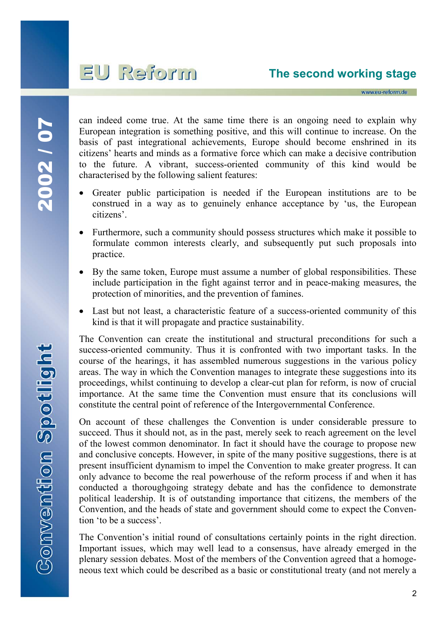## mnoien UE

www.eu-reform.de

2002/07 2002 / 07

can indeed come true. At the same time there is an ongoing need to explain why European integration is something positive, and this will continue to increase. On the basis of past integrational achievements, Europe should become enshrined in its citizens' hearts and minds as a formative force which can make a decisive contribution to the future. A vibrant, success-oriented community of this kind would be characterised by the following salient features:

- Greater public participation is needed if the European institutions are to be construed in a way as to genuinely enhance acceptance by 'us, the European citizens'.
- Furthermore, such a community should possess structures which make it possible to formulate common interests clearly, and subsequently put such proposals into practice.
- By the same token, Europe must assume a number of global responsibilities. These include participation in the fight against terror and in peace-making measures, the protection of minorities, and the prevention of famines.
- Last but not least, a characteristic feature of a success-oriented community of this kind is that it will propagate and practice sustainability.

The Convention can create the institutional and structural preconditions for such a success-oriented community. Thus it is confronted with two important tasks. In the course of the hearings, it has assembled numerous suggestions in the various policy areas. The way in which the Convention manages to integrate these suggestions into its proceedings, whilst continuing to develop a clear-cut plan for reform, is now of crucial importance. At the same time the Convention must ensure that its conclusions will constitute the central point of reference of the Intergovernmental Conference.

On account of these challenges the Convention is under considerable pressure to succeed. Thus it should not, as in the past, merely seek to reach agreement on the level of the lowest common denominator. In fact it should have the courage to propose new and conclusive concepts. However, in spite of the many positive suggestions, there is at present insufficient dynamism to impel the Convention to make greater progress. It can only advance to become the real powerhouse of the reform process if and when it has conducted a thoroughgoing strategy debate and has the confidence to demonstrate political leadership. It is of outstanding importance that citizens, the members of the Convention, and the heads of state and government should come to expect the Convention 'to be a success'.

The Convention's initial round of consultations certainly points in the right direction. Important issues, which may well lead to a consensus, have already emerged in the plenary session debates. Most of the members of the Convention agreed that a homogeneous text which could be described as a basic or constitutional treaty (and not merely a